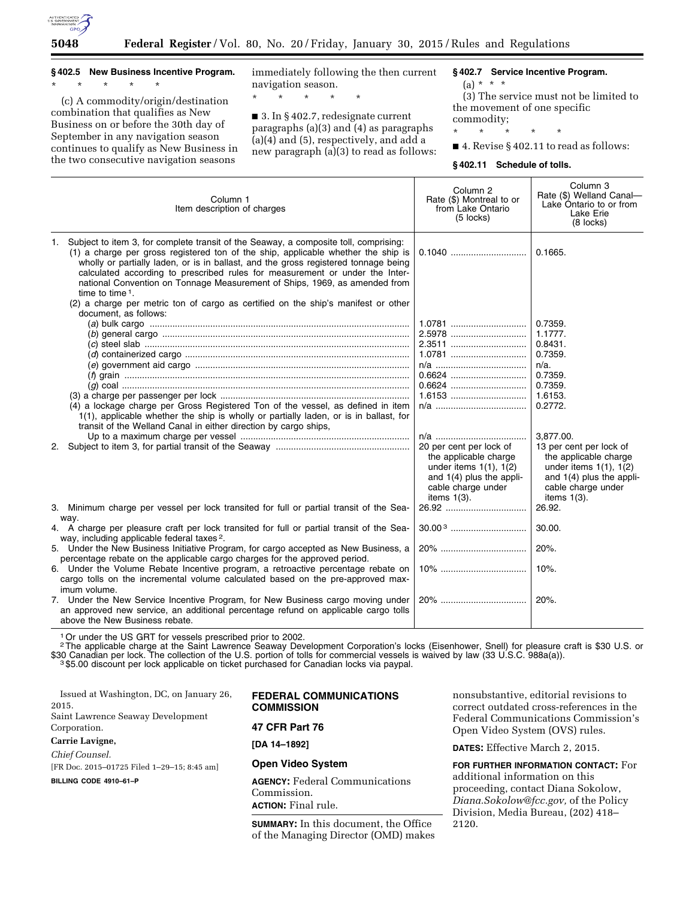

# **§ 402.5 New Business Incentive Program.**

\* \* \* \* \*

(c) A commodity/origin/destination combination that qualifies as New Business on or before the 30th day of September in any navigation season continues to qualify as New Business in the two consecutive navigation seasons

immediately following the then current navigation season.

\* \* \* \* \*

■ 3. In § 402.7, redesignate current paragraphs (a)(3) and (4) as paragraphs (a)(4) and (5), respectively, and add a new paragraph (a)(3) to read as follows:

### **§ 402.7 Service Incentive Program.**

 $(a) * * * *$ 

(3) The service must not be limited to the movement of one specific commodity;

\* \* \* \* \*

■ 4. Revise § 402.11 to read as follows:

### **§ 402.11 Schedule of tolls.**

| Column 1<br>Item description of charges                                                                                                                                                                                                                                                                                                                                                                                                                                                                                                      | Column <sub>2</sub><br>Rate (\$) Montreal to or<br>from Lake Ontario<br>$(5$ locks)                                                                   | Column <sub>3</sub><br>Rate (\$) Welland Canal-<br>Lake Ontario to or from<br>Lake Erie<br>$(8$ locks)                                                |
|----------------------------------------------------------------------------------------------------------------------------------------------------------------------------------------------------------------------------------------------------------------------------------------------------------------------------------------------------------------------------------------------------------------------------------------------------------------------------------------------------------------------------------------------|-------------------------------------------------------------------------------------------------------------------------------------------------------|-------------------------------------------------------------------------------------------------------------------------------------------------------|
| 1. Subject to item 3, for complete transit of the Seaway, a composite toll, comprising:<br>(1) a charge per gross registered ton of the ship, applicable whether the ship is<br>wholly or partially laden, or is in ballast, and the gross registered tonnage being<br>calculated according to prescribed rules for measurement or under the Inter-<br>national Convention on Tonnage Measurement of Ships, 1969, as amended from<br>time to time $1$ .<br>(2) a charge per metric ton of cargo as certified on the ship's manifest or other |                                                                                                                                                       | 0.1665.                                                                                                                                               |
| document, as follows:                                                                                                                                                                                                                                                                                                                                                                                                                                                                                                                        |                                                                                                                                                       |                                                                                                                                                       |
|                                                                                                                                                                                                                                                                                                                                                                                                                                                                                                                                              |                                                                                                                                                       | 0.7359.<br>1.1777.                                                                                                                                    |
|                                                                                                                                                                                                                                                                                                                                                                                                                                                                                                                                              | 2.5978<br>2.3511                                                                                                                                      | 0.8431.                                                                                                                                               |
|                                                                                                                                                                                                                                                                                                                                                                                                                                                                                                                                              | 1.0781                                                                                                                                                | 0.7359.                                                                                                                                               |
|                                                                                                                                                                                                                                                                                                                                                                                                                                                                                                                                              |                                                                                                                                                       | $n/a$ .                                                                                                                                               |
|                                                                                                                                                                                                                                                                                                                                                                                                                                                                                                                                              | 0.6624                                                                                                                                                | 0.7359.                                                                                                                                               |
|                                                                                                                                                                                                                                                                                                                                                                                                                                                                                                                                              |                                                                                                                                                       | 0.7359.<br>1.6153.                                                                                                                                    |
| (4) a lockage charge per Gross Registered Ton of the vessel, as defined in item                                                                                                                                                                                                                                                                                                                                                                                                                                                              |                                                                                                                                                       | 0.2772.                                                                                                                                               |
| 1(1), applicable whether the ship is wholly or partially laden, or is in ballast, for<br>transit of the Welland Canal in either direction by cargo ships,                                                                                                                                                                                                                                                                                                                                                                                    |                                                                                                                                                       |                                                                                                                                                       |
|                                                                                                                                                                                                                                                                                                                                                                                                                                                                                                                                              |                                                                                                                                                       | 3,877.00.                                                                                                                                             |
|                                                                                                                                                                                                                                                                                                                                                                                                                                                                                                                                              | 20 per cent per lock of<br>the applicable charge<br>under items $1(1)$ , $1(2)$<br>and $1(4)$ plus the appli-<br>cable charge under<br>items $1(3)$ . | 13 per cent per lock of<br>the applicable charge<br>under items $1(1)$ , $1(2)$<br>and $1(4)$ plus the appli-<br>cable charge under<br>items $1(3)$ . |
| 3. Minimum charge per vessel per lock transited for full or partial transit of the Sea-<br>way.                                                                                                                                                                                                                                                                                                                                                                                                                                              |                                                                                                                                                       | 26.92.                                                                                                                                                |
| 4. A charge per pleasure craft per lock transited for full or partial transit of the Sea-<br>way, including applicable federal taxes <sup>2</sup> .                                                                                                                                                                                                                                                                                                                                                                                          |                                                                                                                                                       | 30.00.                                                                                                                                                |
| 5. Under the New Business Initiative Program, for cargo accepted as New Business, a<br>percentage rebate on the applicable cargo charges for the approved period.                                                                                                                                                                                                                                                                                                                                                                            | 20%                                                                                                                                                   | 20%.                                                                                                                                                  |
| 6. Under the Volume Rebate Incentive program, a retroactive percentage rebate on<br>cargo tolls on the incremental volume calculated based on the pre-approved max-<br>imum volume.                                                                                                                                                                                                                                                                                                                                                          |                                                                                                                                                       | $10%$ .                                                                                                                                               |
| 7. Under the New Service Incentive Program, for New Business cargo moving under<br>an approved new service, an additional percentage refund on applicable cargo tolls<br>above the New Business rebate.                                                                                                                                                                                                                                                                                                                                      |                                                                                                                                                       | 20%.                                                                                                                                                  |

1Or under the US GRT for vessels prescribed prior to 2002.

2The applicable charge at the Saint Lawrence Seaway Development Corporation's locks (Eisenhower, Snell) for pleasure craft is \$30 U.S. or \$30 Canadian per lock. The collection of the U.S. portion of tolls for commercial vessels is waived by law (33 U.S.C. 988a(a)).<br><sup>3</sup> \$5.00 discount per lock applicable on ticket purchased for Canadian locks via paypal.

| Issued at Washington, DC, on January 26,<br>2015. | <b>FEDERAL COMMUNICATIONS</b><br><b>COMMISSION</b>                                 | nonsubstantive, editoria<br>correct outdated cross-re<br>Federal Communication<br>Open Video System (OV |  |
|---------------------------------------------------|------------------------------------------------------------------------------------|---------------------------------------------------------------------------------------------------------|--|
| Saint Lawrence Seaway Development<br>Corporation. | <b>47 CFR Part 76</b>                                                              |                                                                                                         |  |
| Carrie Lavigne,<br>Chief Counsel.                 | [DA 14-1892]                                                                       | <b>DATES:</b> Effective March                                                                           |  |
| [FR Doc. 2015-01725 Filed 1-29-15; 8:45 am]       | <b>Open Video System</b>                                                           | FOR FURTHER INFORMATIC                                                                                  |  |
| BILLING CODE 4910-61-P                            | <b>AGENCY:</b> Federal Communications<br>Commission.<br><b>ACTION:</b> Final rule. | additional information<br>proceeding, contact Dia<br>Diana.Sokolow@fcc.gov<br>Division, Media Bureau    |  |
|                                                   |                                                                                    | <b>0100</b>                                                                                             |  |

**SUMMARY:** In this document, the Office of the Managing Director (OMD) makes

d revisions to eferences in the is Commission's /S) rules.

2, 2015.

**FOR FURTHER INFORMATION CONTACT:** For on this na Sokolow, *[Diana.Sokolow@fcc.gov,](mailto:Diana.Sokolow@fcc.gov)* of the Policy  $, (202)$  418– 2120.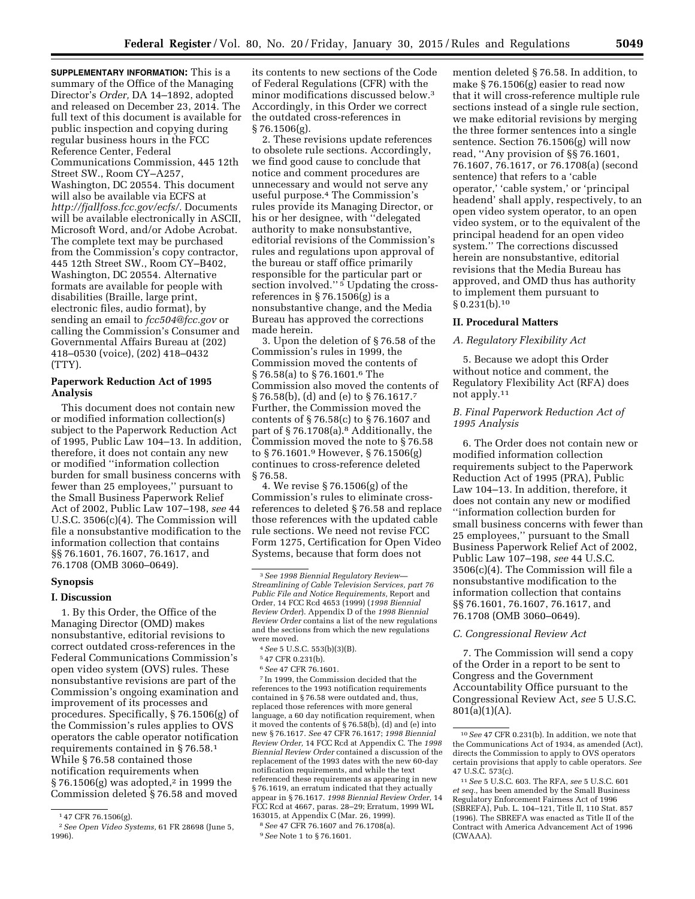**SUPPLEMENTARY INFORMATION:** This is a summary of the Office of the Managing Director's *Order,* DA 14–1892, adopted and released on December 23, 2014. The full text of this document is available for public inspection and copying during regular business hours in the FCC Reference Center, Federal Communications Commission, 445 12th Street SW., Room CY–A257, Washington, DC 20554. This document will also be available via ECFS at *[http://fjallfoss.fcc.gov/ecfs/.](http://fjallfoss.fcc.gov/ecfs/)* Documents will be available electronically in ASCII, Microsoft Word, and/or Adobe Acrobat. The complete text may be purchased from the Commission's copy contractor, 445 12th Street SW., Room CY–B402, Washington, DC 20554. Alternative formats are available for people with disabilities (Braille, large print, electronic files, audio format), by sending an email to *[fcc504@fcc.gov](mailto:fcc504@fcc.gov)* or calling the Commission's Consumer and Governmental Affairs Bureau at (202) 418–0530 (voice), (202) 418–0432 (TTY).

# **Paperwork Reduction Act of 1995 Analysis**

This document does not contain new or modified information collection(s) subject to the Paperwork Reduction Act of 1995, Public Law 104–13. In addition, therefore, it does not contain any new or modified ''information collection burden for small business concerns with fewer than 25 employees,'' pursuant to the Small Business Paperwork Relief Act of 2002, Public Law 107–198, *see* 44 U.S.C. 3506(c)(4). The Commission will file a nonsubstantive modification to the information collection that contains §§ 76.1601, 76.1607, 76.1617, and 76.1708 (OMB 3060–0649).

#### **Synopsis**

### **I. Discussion**

1. By this Order, the Office of the Managing Director (OMD) makes nonsubstantive, editorial revisions to correct outdated cross-references in the Federal Communications Commission's open video system (OVS) rules. These nonsubstantive revisions are part of the Commission's ongoing examination and improvement of its processes and procedures. Specifically, § 76.1506(g) of the Commission's rules applies to OVS operators the cable operator notification requirements contained in § 76.58.1 While § 76.58 contained those notification requirements when § 76.1506(g) was adopted,<sup>2</sup> in 1999 the Commission deleted § 76.58 and moved

its contents to new sections of the Code of Federal Regulations (CFR) with the minor modifications discussed below.3 Accordingly, in this Order we correct the outdated cross-references in § 76.1506(g).

2. These revisions update references to obsolete rule sections. Accordingly, we find good cause to conclude that notice and comment procedures are unnecessary and would not serve any useful purpose.4 The Commission's rules provide its Managing Director, or his or her designee, with ''delegated authority to make nonsubstantive, editorial revisions of the Commission's rules and regulations upon approval of the bureau or staff office primarily responsible for the particular part or section involved."<sup>5</sup> Updating the crossreferences in  $\S 76.1506(g)$  is a nonsubstantive change, and the Media Bureau has approved the corrections made herein.

3. Upon the deletion of § 76.58 of the Commission's rules in 1999, the Commission moved the contents of § 76.58(a) to § 76.1601.6 The Commission also moved the contents of § 76.58(b), (d) and (e) to § 76.1617.7 Further, the Commission moved the contents of § 76.58(c) to § 76.1607 and part of § 76.1708(a).8 Additionally, the Commission moved the note to § 76.58 to § 76.1601.9 However, § 76.1506(g) continues to cross-reference deleted § 76.58.

4. We revise § 76.1506(g) of the Commission's rules to eliminate crossreferences to deleted § 76.58 and replace those references with the updated cable rule sections. We need not revise FCC Form 1275, Certification for Open Video Systems, because that form does not

7 In 1999, the Commission decided that the references to the 1993 notification requirements contained in § 76.58 were outdated and, thus, replaced those references with more general language, a 60 day notification requirement, when it moved the contents of § 76.58(b), (d) and (e) into new § 76.1617. *See* 47 CFR 76.1617; *1998 Biennial Review Order,* 14 FCC Rcd at Appendix C. The *1998 Biennial Review Order* contained a discussion of the replacement of the 1993 dates with the new 60-day notification requirements, and while the text referenced these requirements as appearing in new § 76.1619, an erratum indicated that they actually appear in § 76.1617. *1998 Biennial Review Order,* 14 FCC Rcd at 4667, paras. 28–29; Erratum, 1999 WL 163015, at Appendix C (Mar. 26, 1999). 8*See* 47 CFR 76.1607 and 76.1708(a).

9*See* Note 1 to § 76.1601.

mention deleted § 76.58. In addition, to make § 76.1506(g) easier to read now that it will cross-reference multiple rule sections instead of a single rule section, we make editorial revisions by merging the three former sentences into a single sentence. Section 76.1506(g) will now read, ''Any provision of §§ 76.1601, 76.1607, 76.1617, or 76.1708(a) (second sentence) that refers to a 'cable operator,' 'cable system,' or 'principal headend' shall apply, respectively, to an open video system operator, to an open video system, or to the equivalent of the principal headend for an open video system.'' The corrections discussed herein are nonsubstantive, editorial revisions that the Media Bureau has approved, and OMD thus has authority to implement them pursuant to  $§ 0.231(b).$ <sup>10</sup>

# **II. Procedural Matters**

#### *A. Regulatory Flexibility Act*

5. Because we adopt this Order without notice and comment, the Regulatory Flexibility Act (RFA) does not apply.11

# *B. Final Paperwork Reduction Act of 1995 Analysis*

6. The Order does not contain new or modified information collection requirements subject to the Paperwork Reduction Act of 1995 (PRA), Public Law 104–13. In addition, therefore, it does not contain any new or modified ''information collection burden for small business concerns with fewer than 25 employees,'' pursuant to the Small Business Paperwork Relief Act of 2002, Public Law 107–198, *see* 44 U.S.C. 3506(c)(4). The Commission will file a nonsubstantive modification to the information collection that contains §§ 76.1601, 76.1607, 76.1617, and 76.1708 (OMB 3060–0649).

#### *C. Congressional Review Act*

7. The Commission will send a copy of the Order in a report to be sent to Congress and the Government Accountability Office pursuant to the Congressional Review Act, *see* 5 U.S.C. 801(a)(1)(A).

<sup>1</sup> 47 CFR 76.1506(g).

<sup>2</sup>*See Open Video Systems,* 61 FR 28698 (June 5, 1996).

<sup>3</sup>*See 1998 Biennial Regulatory Review— Streamlining of Cable Television Services, part 76 Public File and Notice Requirements,* Report and Order, 14 FCC Rcd 4653 (1999) (*1998 Biennial Review Order*). Appendix D of the *1998 Biennial Review Order* contains a list of the new regulations and the sections from which the new regulations were moved.

<sup>4</sup>*See* 5 U.S.C. 553(b)(3)(B).

<sup>5</sup> 47 CFR 0.231(b).

<sup>6</sup>*See* 47 CFR 76.1601.

<sup>10</sup>*See* 47 CFR 0.231(b). In addition, we note that the Communications Act of 1934, as amended (Act), directs the Commission to apply to OVS operators certain provisions that apply to cable operators. *See*  47 U.S.C. 573(c).

<sup>11</sup>*See* 5 U.S.C. 603. The RFA, *see* 5 U.S.C. 601 *et seq.,* has been amended by the Small Business Regulatory Enforcement Fairness Act of 1996 (SBREFA), Pub. L. 104–121, Title II, 110 Stat. 857 (1996). The SBREFA was enacted as Title II of the Contract with America Advancement Act of 1996 (CWAAA).